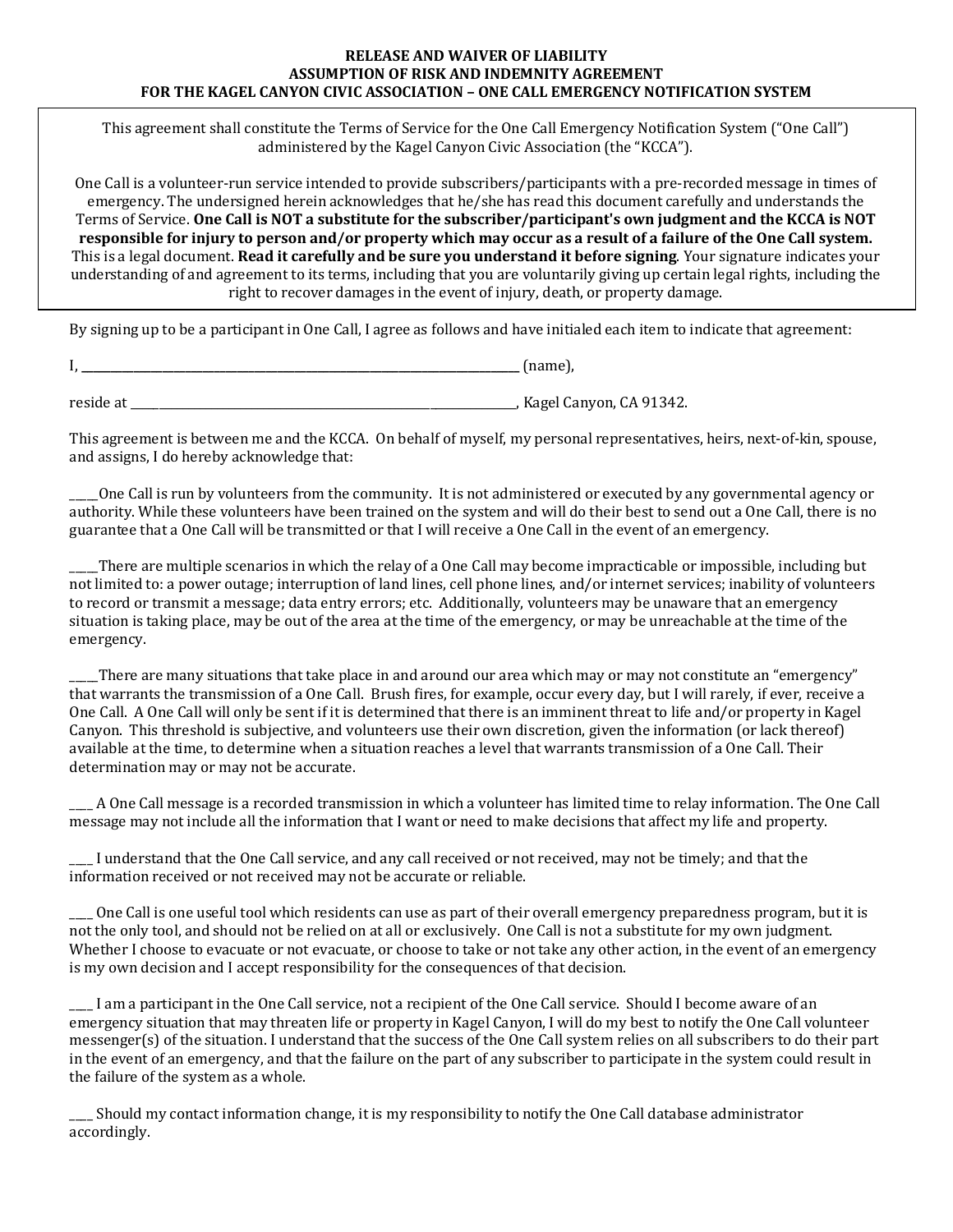## **RELEASE AND WAIVER OF LIABILITY ASSUMPTION OF RISK AND INDEMNITY AGREEMENT FOR THE KAGEL CANYON CIVIC ASSOCIATION - ONE CALL EMERGENCY NOTIFICATION SYSTEM**

This agreement shall constitute the Terms of Service for the One Call Emergency Notification System ("One Call") administered by the Kagel Canyon Civic Association (the "KCCA").

One Call is a volunteer-run service intended to provide subscribers/participants with a pre-recorded message in times of emergency. The undersigned herein acknowledges that he/she has read this document carefully and understands the Terms of Service. **One Call is NOT a substitute for the subscriber/participant's own judgment and the KCCA is NOT responsible for injury to person and/or property which may occur as a result of a failure of the One Call system.** This is a legal document. Read it carefully and be sure you understand it before signing. Your signature indicates your understanding of and agreement to its terms, including that you are voluntarily giving up certain legal rights, including the right to recover damages in the event of injury, death, or property damage.

By signing up to be a participant in One Call, I agree as follows and have initialed each item to indicate that agreement:

| -<br>. | $\mathbf{r}$ and $\mathbf{r}$ and $\mathbf{r}$<br>,<br>$-$ |
|--------|------------------------------------------------------------|
|--------|------------------------------------------------------------|

reside at **the contract of the contract of the contract of the contract of the contract of the contract of the contract of the contract of the contract of the contract of the contract of the contract of the contract of the** 

This agreement is between me and the KCCA. On behalf of myself, my personal representatives, heirs, next-of-kin, spouse, and assigns, I do hereby acknowledge that:

One Call is run by volunteers from the community. It is not administered or executed by any governmental agency or authority. While these volunteers have been trained on the system and will do their best to send out a One Call, there is no guarantee that a One Call will be transmitted or that I will receive a One Call in the event of an emergency.

There are multiple scenarios in which the relay of a One Call may become impracticable or impossible, including but not limited to: a power outage; interruption of land lines, cell phone lines, and/or internet services; inability of volunteers to record or transmit a message; data entry errors; etc. Additionally, volunteers may be unaware that an emergency situation is taking place, may be out of the area at the time of the emergency, or may be unreachable at the time of the emergency. 

There are many situations that take place in and around our area which may or may not constitute an "emergency" that warrants the transmission of a One Call. Brush fires, for example, occur every day, but I will rarely, if ever, receive a One Call. A One Call will only be sent if it is determined that there is an imminent threat to life and/or property in Kagel Canyon. This threshold is subjective, and volunteers use their own discretion, given the information (or lack thereof) available at the time, to determine when a situation reaches a level that warrants transmission of a One Call. Their determination may or may not be accurate.

 $\_$  A One Call message is a recorded transmission in which a volunteer has limited time to relay information. The One Call message may not include all the information that I want or need to make decisions that affect my life and property.

I understand that the One Call service, and any call received or not received, may not be timely; and that the information received or not received may not be accurate or reliable.

One Call is one useful tool which residents can use as part of their overall emergency preparedness program, but it is not the only tool, and should not be relied on at all or exclusively. One Call is not a substitute for my own judgment. Whether I choose to evacuate or not evacuate, or choose to take or not take any other action, in the event of an emergency is my own decision and I accept responsibility for the consequences of that decision.

I am a participant in the One Call service, not a recipient of the One Call service. Should I become aware of an emergency situation that may threaten life or property in Kagel Canyon, I will do my best to notify the One Call volunteer messenger(s) of the situation. I understand that the success of the One Call system relies on all subscribers to do their part in the event of an emergency, and that the failure on the part of any subscriber to participate in the system could result in the failure of the system as a whole.

Should my contact information change, it is my responsibility to notify the One Call database administrator accordingly.